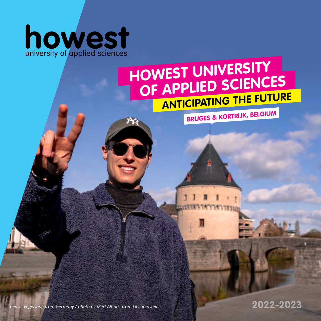

 $\kappa$ 

### **ANTICIPATING THE FUTURE HOWEST UNIVERSITY OF APPLIED SCIENCES**

**BRUGES & KORTRIJK, BELGIUM**

*Cedric Vogelsang from Germany / photo by Mert Altinöz from Liechtenstein*

**2022-2023**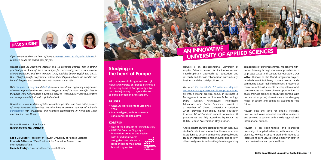### **Studying in the heart of Europe**

**With campuses in Bruges and Kortrijk, Howest University of Applied Sciences is at the very heart of Europe, only a two hour train journey to major cities such as Paris, London and Amsterdam.**

#### **BRUGES**

- **• UNESCO World Heritage Site since 2000**
- **• Medieval gem, with its romantic canals and cobbled alleys**

#### **KORTRIJK**

*If you want to study in the heart of Europe, [Howest University of Applied Sciences](https://www.howest.be/en) is without a doubt the perfect spot for you.*

- **• One of the hotspots of Flemish history**
- **• UNESCO Creative City, city of innovation, creation and design with broad boulevards**

**along the river Leie and a large shopping mall in the historic city centre**

*Howest offers 25 bachelor's degrees and 12 associate degrees with a strong practical focus. Some of them are unique for our country, such as our awardwinning [Digital Arts and Entertainment \(DAE\),](https://www.digitalartsandentertainment.be/) available both in English and Dutch. Our 33 [English-taught programmes](https://www.howest.be/en/study/howest-international/course-offer-in-english) attract students from all over the world to our beautiful region, and provide them with top-notch education..*

*With [campuses](https://www.howest.be/en/study/student-life/campuses) in [Bruges](https://www.visitbruges.be/en) and [Kortrijk](https://www.toerismekortrijk.be/en), Howest provides an appealing programme within an impressive historical context. Bruges is one of the most beautiful cities in the world while Kortrijk holds a symbolic place in Flemish history and is a creative and entrepreneurial hub with a global outlook.* 

We offer 25 bachelor's, 12 associate degrees [and many postgraduate certificate programmes](https://www.howest.be/en/study-programmes), all with a strong practical focus, in Business & Management, Industrial Sciences & Technology, Digital Design, Architecture, Healthcare, Education, and Social Sciences. Howest is a member of Ghent University Association, which provides high-quality higher education to about 1/3 of Flanders' student population. All programmes are fully accredited by NVAO, the Dutch-Flemish Accreditation Organisation.

*Howest has a vast tradition of international cooperation and is an active partner of many European universities. We also have a growing number of valuable [partnerships](https://www.howest.be/en/study/study-at-howest/study-abroad/partners) with universities and fieldwork organisations in North and Latin America, Asia and Africa.*

*I'm sure Howest is a place for you. We'll make you feel welcome!*

**Lode De Geyter** / President of Howest University of Applied Sciences **Frederik D'Hulster** / Vice President for Education, Research and International Affairs. **Isabelle Pertry** / Director of International Affairs



Howest is an entrepreneurial University of Applied Sciences known for its innovative and interdisciplinary approach to education and research, and its close collaboration with industry, business and the social profit sector.

Anticipating the future, starting from each individual student's talent and motivation, Howest educates its students to become competent, employable and team-oriented professionals. Industry and societydriven assignments and on-the-job training are key

components of our programmes. We achieve highimpact learning through modern approaches such as project based and cooperative education. Our WOW, Window on the World integration project, in which multidisciplinary student teams tackle community-based, real-life challenges, is just one of many examples. All students develop international competencies and have diverse opportunities to study, train, do projects or study trips abroad. With our alumni as proof, Howest meets the changing needs of society and equips its students for the

future.

Howest sets the tone for socially relevant, practice and value oriented education, research and services to society, with a wide regional and international outlook.

Howest is an open-minded and pluralistic university of applied sciences, with respect for diversity. Howest inspires its staff and students to integrate its core values "serve-empower-care" in their professional and personal lives.

 $\frac{1}{2}$ **KORTRIJK** UNESCO<br>DESIGN REGION



### **AN INNOVATIVE UNIVERSITY OF APPLIED SCIENCES**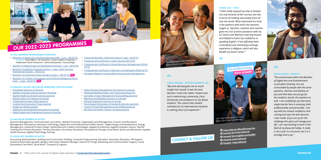#### **23 ENGLISH-TAUGHT BACHELOR SEMESTERS FOR EXCHANGE\***

- [AI Engineer \(autumn or full year\)](https://www.howest.be/en/programmes/english-taught-semester/ai-engineer)
- [Applied Computer Sciences \(autumn & spring\)](https://www.howest.be/en/programmes/english-taught-semester/applied-computer-sciences)
- [Applied Health & Lifestyle Sciences \(autumn\)](https://www.howest.be/en/programmes/english-taught-semester/applied-health-and-lifestyle-sciences)
- [Bioinformatics I & II \(autumn & spring\)](https://www.howest.be/en/programmes/english-taught-semester/bioinformatics)
- [Collaborative Design Studio \(autumn\)](https://www.howest.be/en/programmes/english-taught-semester/collaborative-design-studio)
- [Creative Communication Project \(spring\)](https://www.howest.be/en/programmes/english-taught-semester/creative-communication-project)
- [Design for Identity \(spring\)](https://www.howest.be/en/programmes/english-taught-semester/design-for-identity)
- [Digital Arts and Entertainment \(autumn & spring\)](https://www.digitalartsandentertainment.be/)
- [Digital Design and Development \(autumn & spring\)](https://www.howest.be/en/programmes/bachelor/devine)

#### • [Global Business Management I & II \(autumn & spring\)](https://www.howest.be/en/programmes/english-taught-semester/global-business-management)

- [Integrated Building Design and Construction \(autumn\)](https://www.howest.be/en/programmes/english-taught-semester/integrated-building-design-and-construction)
- [Journalism, Project Management & Storytelling \(autumn\)](https://www.howest.be/en/programmes/english-taught-semester/journalism-project-management-and-storytelling)
- [Migration and Refugees \(autumn or full year\)](https://www.howest.be/en/programmes/english-taught-semester/migration-and-refugees)
- [Nursing Programme \(autumn & spring\)](https://www.howest.be/en/programmes/english-taught-semester/international-nursing-programme)
- [Psychological Dimensions of Gender & Diversity \(autumn\)](https://www.howest.be/en/programmes/english-taught-semester/psychological-dimensions-of-gender-and-diversity)
- [Tourism, Project Management & Storytelling \(autumn\)](https://www.howest.be/en/programmes/english-taught-semester/tourism-project-management-and-storytelling)
- [We Teach the World. Teacher Training \(autumn\)](https://www.howest.be/en/programmes/english-taught-semester/we-teach-the-world)

#### **25 BACHELOR DEGREES IN DUTCH**

Business Management, Communication, Journalism, Network Economy, Organisation and Management, Tourism and Recreation Management, Biomedical Laboratory Technology, Digital Arts and Entertainment (DAE), Devine - Digital Design and Development, Energy Management, Industrial Product Design, Multimedia and Creative Technologies, Applied Architecture, Applied Computer Science, Teacher Training (Pre-Primary Education, Primary Education, Secondary Education), Occupational Therapy, Social Work, Sports and Movement, Applied Health Sciences, Applied Psychology, Nursing

#### **12 ASSOCIATE DEGREES IN DUTCH**

**[international.office@howest.be](mailto:international.office%40howest.be?subject=) [howest.be/international](https://www.howest.be/en/study/howest-international) [howest.be/englishcourseoffer](https://www.howest.be/en/study/howest-international/course-offer-in-english) O** [Howest International](https://www.facebook.com/howestinternational) *<u>O* howest international</u>

# ككانة **GO INTERNATION WITH HOWEST** Left: Topi Raatikainen, Finland

Accounting Administration, Building and Construction Drafting, Computer Programming, Education: Secondary Education, HR Support, Industrial Informatics (graphic design), Informatics Network Manager, Internet of Things, Marketing and Communication Support, Social Educational Care Work, Social Work, Transport & Logistics

## **OUR 2022-2023 PROGRAMMES**

**JINXING GAO / CHINA**

*"I have really enjoyed my stay at Howest, not only because of the courses, but also in terms of meeting new people from all over the world. What impressed me most is the patience with which the teachers taught us. Teachers, students and coaches gave me a lot of extra assistance with my IoT Device and Machine Learning lessons and helped to boost my confidence in speaking English. It has definitely been a wonderful and interesting exchange experience in Belgium, which will also* 





*benefit my future career."*

#### **NAKISA BASTAM / GERMANY**

*''The environment within the Bachelor of Digital Arts and Entertainment is just plain amazing. You are surrounded by people with the same passions, interests and dreams as you and that does not just go for the students, but for the teachers as well. I can confidently say that every single teacher here is amazing, both professionally and personally. I can say with the utmost confidence that coming here was the best decision I ever made. If you are up for the challenge this place will change your life. I am now starting to work in the field of my favourite hobby. It really is not a job, it is not work, but it is a privilege and a joy."*

### Right: Aziz Priganica, Norway

#### **JESSICA NAVARRO / APPSTATE UNIVERSITY, USA**

*"My time abroad gave me so much insight into myself. It was the best decision I have ever taken. Howest was such a welcoming community, from the faculty and professors to my fellow students. The culture that Howest cultivates for its international students is nothing short of exceptional."*

**CONTACT & FOLLOW US** 



Jessica Navarro, both from the USA

### ∧

#### **10 FULL DEGREES/PROGRAMMES IN ENGLISH**

- [Bachelor of Digital Arts and Entertainment \(DAE 3 yrs 180 ECTS\)](https://www.digitalartsandentertainment.be/) *6 majors: Visual Effects / 3D Animation / Game Graphics Production / Independent Game Production / Game Development / Sound Design*
- [Bachelor of Digital Design and Development \(Devine 3 yrs 180 ECTS\)](https://www.howest.be/en/programmes/bachelor/devine)
- [Bachelor of Applied Computer Science major Cyber Security](https://www.howest.be/en/programmes/bachelor/applied-computer-science/cyber-security-professional)  [Professional \(3 years - 180 ECTS\)](https://www.howest.be/en/programmes/bachelor/applied-computer-science/cyber-security-professional)
- [Bachelor of Industrial Product Design \(3 years 180 ECTS\)](https://www.howest.be/en/programmes/bachelor/industrial-product-design) **NEW**
- [Bachelor of Creative Technologies and Artificial Intelligence \(short](https://www.howest.be/en/study/howest-international/course-offer-in-english#Bachelor-of-Creative-Technologies-and-Artificial-Intelligence)  [track - 1 year - 60 ECTS\)](https://www.howest.be/en/study/howest-international/course-offer-in-english#Bachelor-of-Creative-Technologies-and-Artificial-Intelligence) **NEW**
- [Advanced Bachelor of Bioinformatics \(1 year 60 ECTS\)](https://www.howest.be/en/programmes/advanced-bachelor/bioinformatics)
- [Postgraduate Certificate in Cyber Security \(56 ECTS\)](https://www.howest.be/nl/opleidingen/postgraduaat/cyber-security)
- [Postgraduate Certificate in Global Business Management \(30/60](https://www.howest.be/en/programmes/english-taught-semester/global-business-management)  [ECTS\)](https://www.howest.be/en/programmes/english-taught-semester/global-business-management)
- [Postgraduate Certificate in Migration and Refugees \(30/60 ECTS\)](https://www.howest.be/en/programmes/english-taught-semester/migration-and-refugees)
- [European Master in Sustainable Energy System Management](https://www.howest.be/en/opleidingen/master/sustainable-energy-system-management)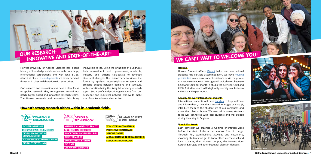Howest University of Applied Sciences has a long history of knowledge collaboration with both large, international corporations and with local SME's. Almost all of our [research projects](https://www.howest.be/en/collaborate/companies-and-organisations/research-and-services) are either demand driven or in close collaboration with enterprises.

Our research and innovation labs have a clear focus on applied research. They are organised around topnotch, highly skilled and innovative research teams. The Howest research and innovation labs bring

innovation to life, using the principles of quadruple helix innovation in which government, academia, industry and citizens collaborate to leverage structural changes. Our researchers anticipate the future by applying interdisciplinary research and creating bridges between domains and curricula, with education being the living lab of many research topics. Social profit and profit organisations from our academic and industrial network worldwide make use of our knowhow and expertise.

#### **Housing**

Howest Student Affairs [\(Stuvo\)](https://www.howest.be/en/study/student-services) helps our international students find suitable accommodation. We have [housing](https://www.howest.be/en/study/student-life/student-housing) [possibilities](https://www.howest.be/en/study/student-life/student-housing) in our own student residence or via the private market. A student room in Bruges will typically cost between €250 and €400 per month; a studio flat between €400 and €600. A student room in Kortrijk will generally cost between €270 and €470 per month.

#### **A buddy for every international student!**

International students will have [buddies](https://www.howest.be/nl/studeren/internationalisering/exchange-study-at-howest#Buddies) to help welcome and inform them, show them around in Bruges or Kortrijk, introduce them to the student life at our campuses and make them feel at home. We want all incoming students to be well connected with local students and well guided during their stay in Belgium.

#### **Orientation Week**

Each semester we organise a full-time orientation week before the start of the actual lessons, free of charge. Through fun, team-building activities and excursions, incoming students will get to know other international and local students, their Howest campus, the Howest cities Kortrijk & Bruges and other beautiful places in Flanders.



#### **Howest's strong research niches within its academic fields:**

# **OUR RESEARCH: INNOVATIVE AND STATE-OF-THE-ART!**







**ENTREPRENEURSHIP CIRCULAR BUSINESS MODELS DIGITAL MARKETING & COMMUNICATION SOCIAL MEDIA COMMUNICATION DIGITAL STORYTELLING**

**VIRTUAL & AUGMENTED REALITY ARTIFICIAL INTELLIGENCE BLOCKCHAIN & CYBERSECURITY BIOINFORMATICS SMART ENERGY SYSTEMS BIG DATA DESIGN FOR EVERYONE**

**VITAL CITIES & COMPANIES PREVENTIVE HEALTHCARE SERIOUS GAMES MORAL DISTRESS IN ORGANISATIONS EDUCATIVE TECHNOLOGY**



**Howest** / 6 **Get to know Howest University of Applied Sciences** / 7



**Howest buddy & international pals Aizpea Garmendia Iartza, Bruno Tardaguila and Noor Van de Steen**

# **WE CAN'T WAIT TO WELCOME YOU!**